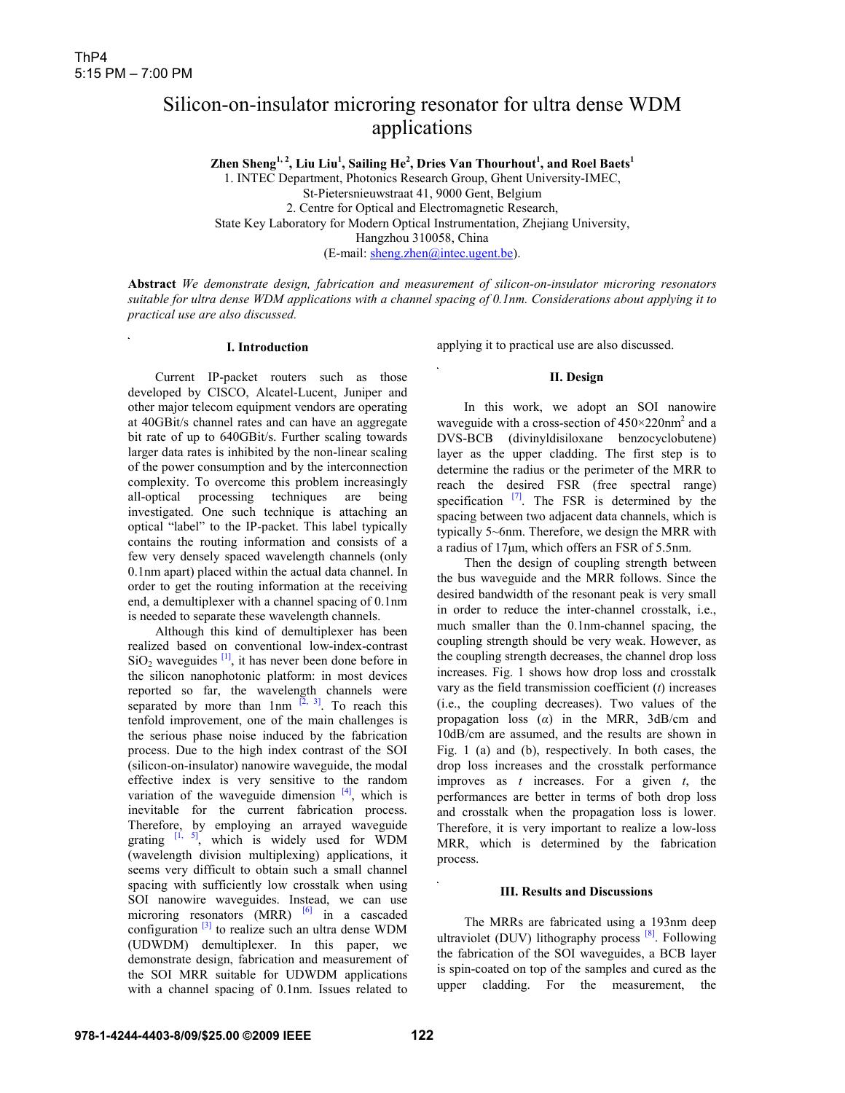# Silicon-on-insulator microring resonator for ultra dense WDM applications

**Zhen Sheng1, 2, Liu Liu1 , Sailing He<sup>2</sup> , Dries Van Thourhout<sup>1</sup> , and Roel Baets1**

1. INTEC Department, Photonics Research Group, Ghent University-IMEC, St-Pietersnieuwstraat 41, 9000 Gent, Belgium 2. Centre for Optical and Electromagnetic Research, State Key Laboratory for Modern Optical Instrumentation, Zhejiang University, Hangzhou 310058, China (E-mail: sheng.zhen@intec.ugent.be).

**Abstract** *We demonstrate design, fabrication and measurement of silicon-on-insulator microring resonators suitable for ultra dense WDM applications with a channel spacing of 0.1nm. Considerations about applying it to practical use are also discussed.* 

#### **I. Introduction**

Current IP-packet routers such as those developed by CISCO, Alcatel-Lucent, Juniper and other major telecom equipment vendors are operating at 40GBit/s channel rates and can have an aggregate bit rate of up to 640GBit/s. Further scaling towards larger data rates is inhibited by the non-linear scaling of the power consumption and by the interconnection complexity. To overcome this problem increasingly all-optical processing techniques are being investigated. One such technique is attaching an optical "label" to the IP-packet. This label typically contains the routing information and consists of a few very densely spaced wavelength channels (only 0.1nm apart) placed within the actual data channel. In order to get the routing information at the receiving end, a demultiplexer with a channel spacing of 0.1nm is needed to separate these wavelength channels.

 Although this kind of demultiplexer has been realized based on conventional low-index-contrast  $SiO<sub>2</sub>$  waveguides  $\frac{1}{1}$ , it has never been done before in the silicon nanophotonic platform: in most devices reported so far, the wavelength channels were separated by more than  $1$ nm  $\left[2, 3\right]$ . To reach this tenfold improvement, one of the main challenges is the serious phase noise induced by the fabrication process. Due to the high index contrast of the SOI (silicon-on-insulator) nanowire waveguide, the modal effective index is very sensitive to the random variation of the waveguide dimension  $[4]$ , which is inevitable for the current fabrication process. Therefore, by employing an arrayed waveguide grating  $\begin{bmatrix} 1, 5 \end{bmatrix}$ , which is widely used for WDM (wavelength division multiplexing) applications, it seems very difficult to obtain such a small channel spacing with sufficiently low crosstalk when using SOI nanowire waveguides. Instead, we can use microring resonators  $(MRR)$  <sup>[6]</sup> in a cascaded configuration  $\left[3\right]$  to realize such an ultra dense WDM (UDWDM) demultiplexer. In this paper, we demonstrate design, fabrication and measurement of the SOI MRR suitable for UDWDM applications with a channel spacing of 0.1nm. Issues related to

applying it to practical use are also discussed.

## **II. Design**

 In this work, we adopt an SOI nanowire waveguide with a cross-section of  $450\times220$ nm<sup>2</sup> and a DVS-BCB (divinyldisiloxane benzocyclobutene) layer as the upper cladding. The first step is to determine the radius or the perimeter of the MRR to reach the desired FSR (free spectral range) specification  $[7]$ . The FSR is determined by the spacing between two adjacent data channels, which is typically 5~6nm. Therefore, we design the MRR with a radius of 17μm, which offers an FSR of 5.5nm.

 Then the design of coupling strength between the bus waveguide and the MRR follows. Since the desired bandwidth of the resonant peak is very small in order to reduce the inter-channel crosstalk, i.e., much smaller than the 0.1nm-channel spacing, the coupling strength should be very weak. However, as the coupling strength decreases, the channel drop loss increases. Fig. 1 shows how drop loss and crosstalk vary as the field transmission coefficient (*t*) increases (i.e., the coupling decreases). Two values of the propagation loss (*α*) in the MRR, 3dB/cm and 10dB/cm are assumed, and the results are shown in Fig. 1 (a) and (b), respectively. In both cases, the drop loss increases and the crosstalk performance improves as *t* increases. For a given *t*, the performances are better in terms of both drop loss and crosstalk when the propagation loss is lower. Therefore, it is very important to realize a low-loss MRR, which is determined by the fabrication process.

### **III. Results and Discussions**

 The MRRs are fabricated using a 193nm deep ultraviolet (DUV) lithography process  $[8]$ . Following the fabrication of the SOI waveguides, a BCB layer is spin-coated on top of the samples and cured as the upper cladding. For the measurement, the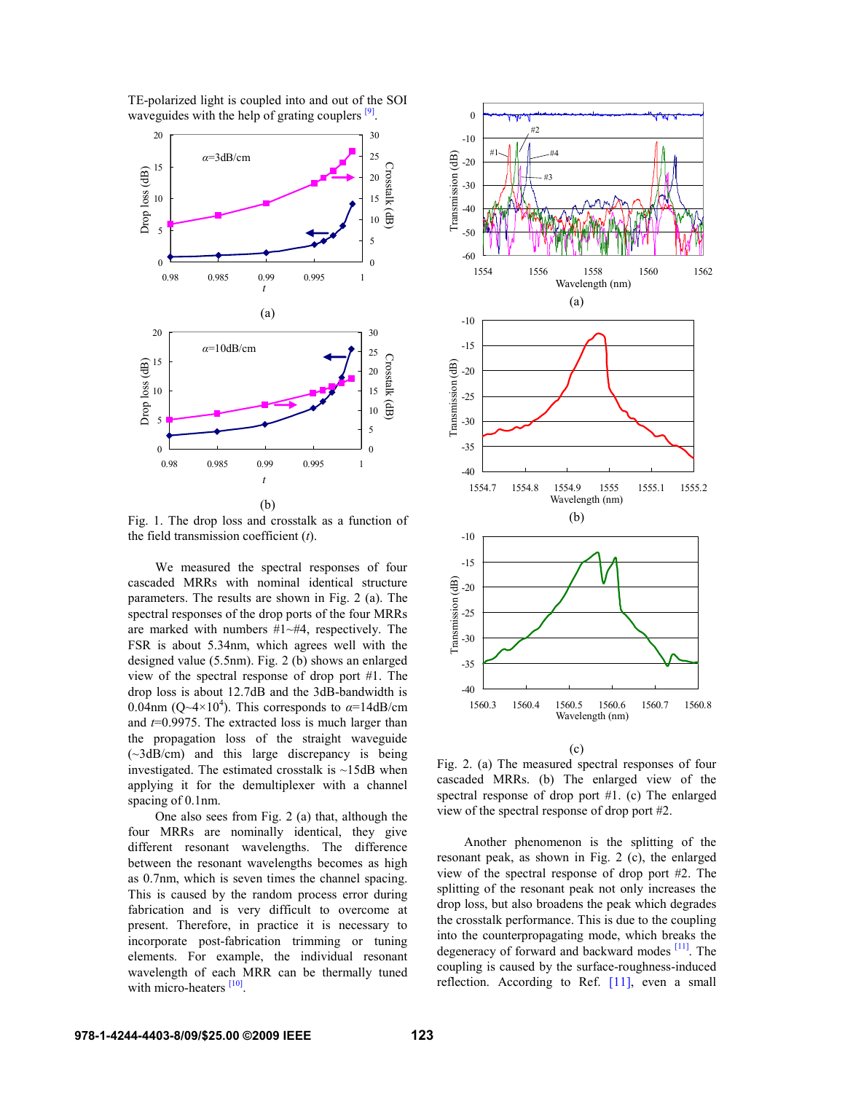

TE-polarized light is coupled into and out of the SOI waveguides with the help of grating couplers  $\left[\frac{9}{2}\right]$ .

Fig. 1. The drop loss and crosstalk as a function of the field transmission coefficient (*t*).

 We measured the spectral responses of four cascaded MRRs with nominal identical structure parameters. The results are shown in Fig. 2 (a). The spectral responses of the drop ports of the four MRRs are marked with numbers #1~#4, respectively. The FSR is about 5.34nm, which agrees well with the designed value (5.5nm). Fig. 2 (b) shows an enlarged view of the spectral response of drop port #1. The drop loss is about 12.7dB and the 3dB-bandwidth is 0.04nm ( $Q \sim 4 \times 10^4$ ). This corresponds to  $\alpha = 14$ dB/cm and *t*=0.9975. The extracted loss is much larger than the propagation loss of the straight waveguide (~3dB/cm) and this large discrepancy is being investigated. The estimated crosstalk is  $\sim$ 15dB when applying it for the demultiplexer with a channel spacing of 0.1nm.

One also sees from Fig. 2 (a) that, although the four MRRs are nominally identical, they give different resonant wavelengths. The difference between the resonant wavelengths becomes as high as 0.7nm, which is seven times the channel spacing. This is caused by the random process error during fabrication and is very difficult to overcome at present. Therefore, in practice it is necessary to incorporate post-fabrication trimming or tuning elements. For example, the individual resonant wavelength of each MRR can be thermally tuned with micro-heaters <sup>[10]</sup>.





Fig. 2. (a) The measured spectral responses of four cascaded MRRs. (b) The enlarged view of the spectral response of drop port #1. (c) The enlarged view of the spectral response of drop port #2.

Another phenomenon is the splitting of the resonant peak, as shown in Fig. 2 (c), the enlarged view of the spectral response of drop port #2. The splitting of the resonant peak not only increases the drop loss, but also broadens the peak which degrades the crosstalk performance. This is due to the coupling into the counterpropagating mode, which breaks the degeneracy of forward and backward modes [11]. The coupling is caused by the surface-roughness-induced reflection. According to Ref. [11], even a small